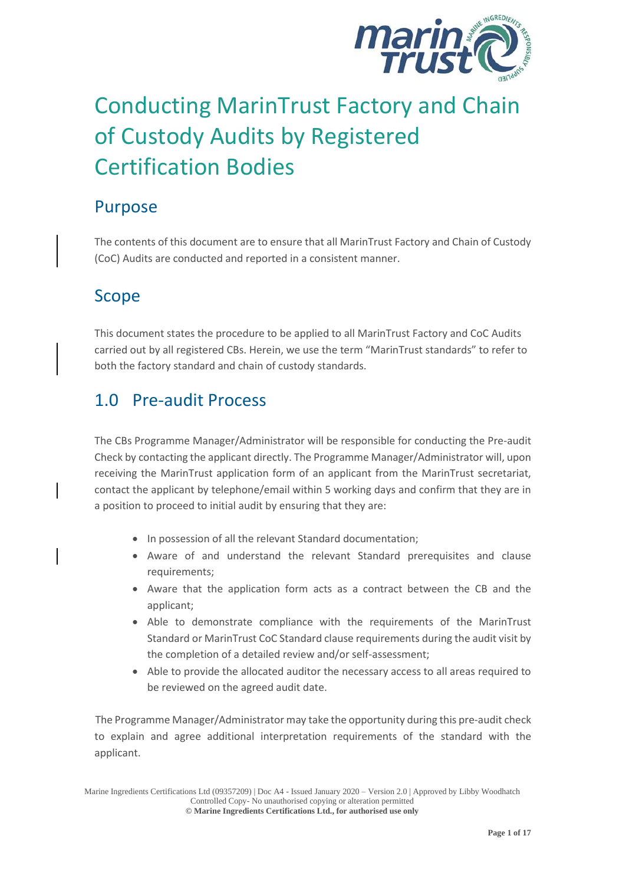

# Conducting MarinTrust Factory and Chain of Custody Audits by Registered Certification Bodies

### Purpose

The contents of this document are to ensure that all MarinTrust Factory and Chain of Custody (CoC) Audits are conducted and reported in a consistent manner.

## Scope

This document states the procedure to be applied to all MarinTrust Factory and CoC Audits carried out by all registered CBs. Herein, we use the term "MarinTrust standards" to refer to both the factory standard and chain of custody standards.

### 1.0 Pre-audit Process

The CBs Programme Manager/Administrator will be responsible for conducting the Pre-audit Check by contacting the applicant directly. The Programme Manager/Administrator will, upon receiving the MarinTrust application form of an applicant from the MarinTrust secretariat, contact the applicant by telephone/email within 5 working days and confirm that they are in a position to proceed to initial audit by ensuring that they are:

- In possession of all the relevant Standard documentation;
- Aware of and understand the relevant Standard prerequisites and clause requirements;
- Aware that the application form acts as a contract between the CB and the applicant;
- Able to demonstrate compliance with the requirements of the MarinTrust Standard or MarinTrust CoC Standard clause requirements during the audit visit by the completion of a detailed review and/or self-assessment;
- Able to provide the allocated auditor the necessary access to all areas required to be reviewed on the agreed audit date.

The Programme Manager/Administrator may take the opportunity during this pre-audit check to explain and agree additional interpretation requirements of the standard with the applicant.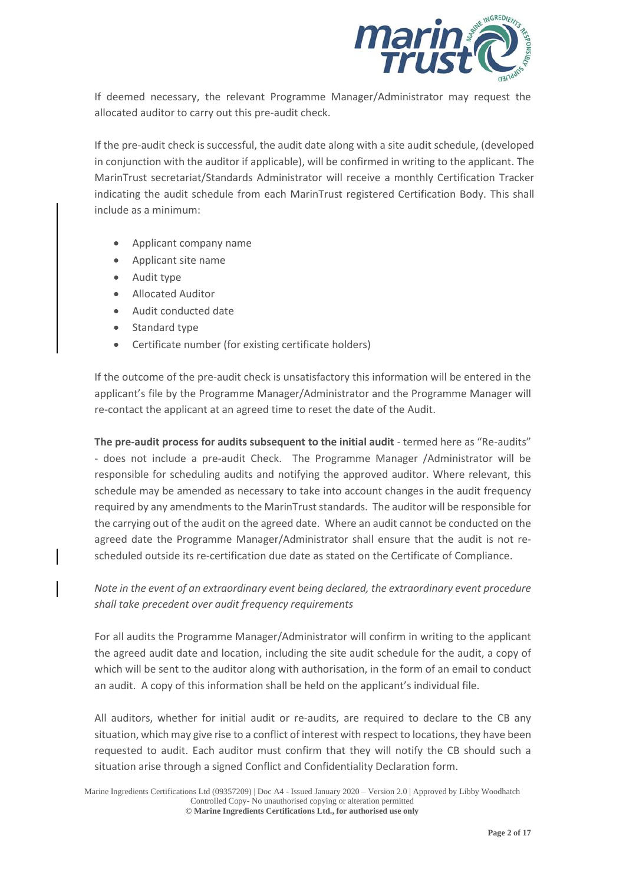

If deemed necessary, the relevant Programme Manager/Administrator may request the allocated auditor to carry out this pre-audit check.

If the pre-audit check is successful, the audit date along with a site audit schedule, (developed in conjunction with the auditor if applicable), will be confirmed in writing to the applicant. The MarinTrust secretariat/Standards Administrator will receive a monthly Certification Tracker indicating the audit schedule from each MarinTrust registered Certification Body. This shall include as a minimum:

- Applicant company name
- Applicant site name
- Audit type
- Allocated Auditor
- Audit conducted date
- Standard type
- Certificate number (for existing certificate holders)

 If the outcome of the pre-audit check is unsatisfactory this information will be entered in the applicant's file by the Programme Manager/Administrator and the Programme Manager will re-contact the applicant at an agreed time to reset the date of the Audit.

**The pre-audit process for audits subsequent to the initial audit** - termed here as "Re-audits" - does not include a pre-audit Check. The Programme Manager /Administrator will be responsible for scheduling audits and notifying the approved auditor. Where relevant, this schedule may be amended as necessary to take into account changes in the audit frequency required by any amendments to the MarinTrust standards. The auditor will be responsible for the carrying out of the audit on the agreed date. Where an audit cannot be conducted on the agreed date the Programme Manager/Administrator shall ensure that the audit is not rescheduled outside its re-certification due date as stated on the Certificate of Compliance.

*Note in the event of an extraordinary event being declared, the extraordinary event procedure shall take precedent over audit frequency requirements*

For all audits the Programme Manager/Administrator will confirm in writing to the applicant the agreed audit date and location, including the site audit schedule for the audit, a copy of which will be sent to the auditor along with authorisation, in the form of an email to conduct an audit. A copy of this information shall be held on the applicant's individual file.

All auditors, whether for initial audit or re-audits, are required to declare to the CB any situation, which may give rise to a conflict of interest with respect to locations, they have been requested to audit. Each auditor must confirm that they will notify the CB should such a situation arise through a signed Conflict and Confidentiality Declaration form.

Marine Ingredients Certifications Ltd (09357209) | Doc A4 - Issued January 2020 – Version 2.0 | Approved by Libby Woodhatch Controlled Copy- No unauthorised copying or alteration permitted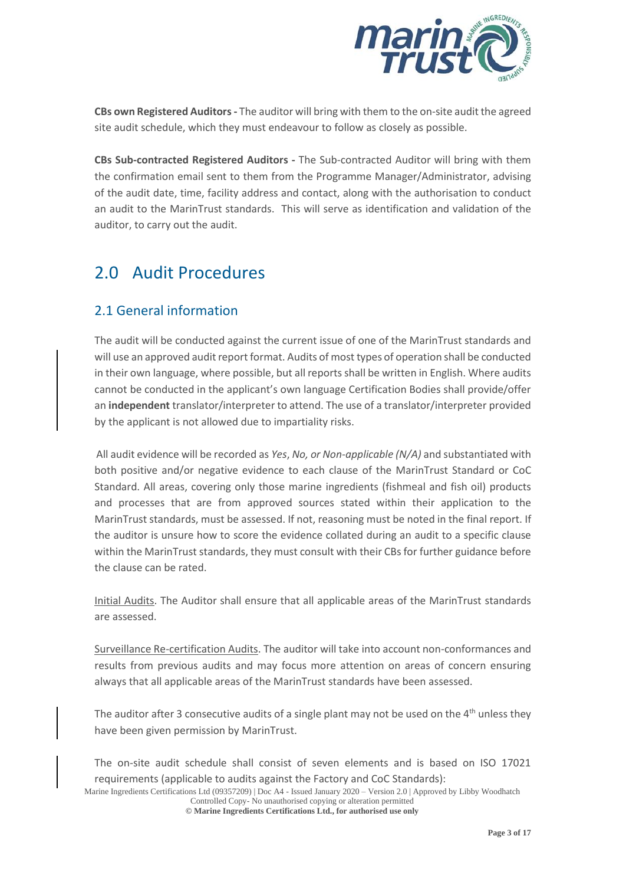

**CBs own Registered Auditors-** The auditor will bring with them to the on-site audit the agreed site audit schedule, which they must endeavour to follow as closely as possible.

**CBs Sub-contracted Registered Auditors -** The Sub-contracted Auditor will bring with them the confirmation email sent to them from the Programme Manager/Administrator, advising of the audit date, time, facility address and contact, along with the authorisation to conduct an audit to the MarinTrust standards. This will serve as identification and validation of the auditor, to carry out the audit.

### 2.0 Audit Procedures

#### 2.1 General information

The audit will be conducted against the current issue of one of the MarinTrust standards and will use an approved audit report format. Audits of most types of operation shall be conducted in their own language, where possible, but all reports shall be written in English. Where audits cannot be conducted in the applicant's own language Certification Bodies shall provide/offer an **independent** translator/interpreter to attend. The use of a translator/interpreter provided by the applicant is not allowed due to impartiality risks.

 All audit evidence will be recorded as *Yes*, *No, or Non-applicable (N/A)* and substantiated with both positive and/or negative evidence to each clause of the MarinTrust Standard or CoC Standard. All areas, covering only those marine ingredients (fishmeal and fish oil) products and processes that are from approved sources stated within their application to the MarinTrust standards, must be assessed. If not, reasoning must be noted in the final report. If the auditor is unsure how to score the evidence collated during an audit to a specific clause within the MarinTrust standards, they must consult with their CBs for further guidance before the clause can be rated.

Initial Audits. The Auditor shall ensure that all applicable areas of the MarinTrust standards are assessed.

Surveillance Re-certification Audits. The auditor will take into account non-conformances and results from previous audits and may focus more attention on areas of concern ensuring always that all applicable areas of the MarinTrust standards have been assessed.

The auditor after 3 consecutive audits of a single plant may not be used on the  $4<sup>th</sup>$  unless they have been given permission by MarinTrust.

The on-site audit schedule shall consist of seven elements and is based on ISO 17021 requirements (applicable to audits against the Factory and CoC Standards):

Marine Ingredients Certifications Ltd (09357209) | Doc A4 - Issued January 2020 – Version 2.0 | Approved by Libby Woodhatch Controlled Copy- No unauthorised copying or alteration permitted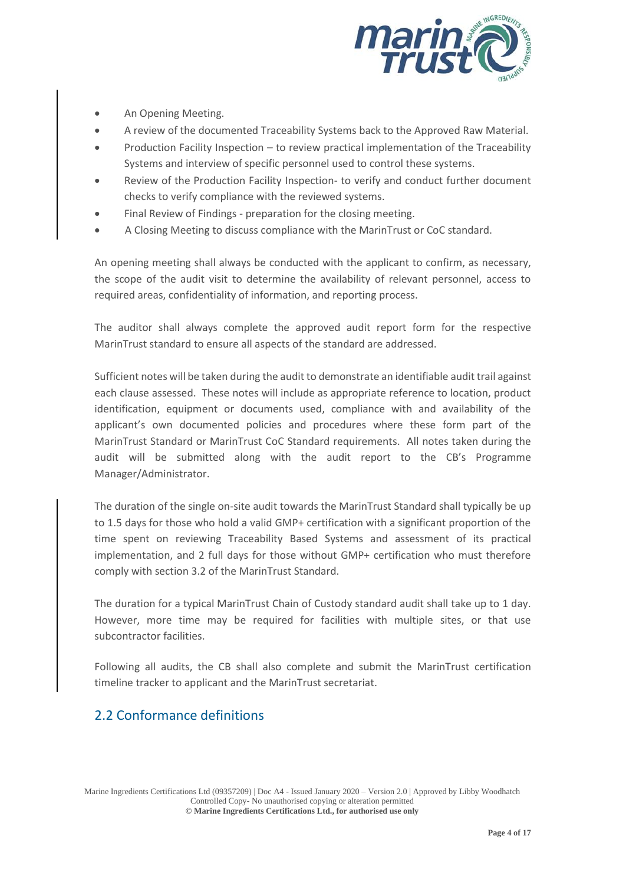

- An Opening Meeting.
- A review of the documented Traceability Systems back to the Approved Raw Material.
- Production Facility Inspection to review practical implementation of the Traceability Systems and interview of specific personnel used to control these systems.
- Review of the Production Facility Inspection- to verify and conduct further document checks to verify compliance with the reviewed systems.
- Final Review of Findings preparation for the closing meeting.
- A Closing Meeting to discuss compliance with the MarinTrust or CoC standard.

An opening meeting shall always be conducted with the applicant to confirm, as necessary, the scope of the audit visit to determine the availability of relevant personnel, access to required areas, confidentiality of information, and reporting process.

The auditor shall always complete the approved audit report form for the respective MarinTrust standard to ensure all aspects of the standard are addressed.

Sufficient notes will be taken during the audit to demonstrate an identifiable audit trail against each clause assessed. These notes will include as appropriate reference to location, product identification, equipment or documents used, compliance with and availability of the applicant's own documented policies and procedures where these form part of the MarinTrust Standard or MarinTrust CoC Standard requirements. All notes taken during the audit will be submitted along with the audit report to the CB's Programme Manager/Administrator.

The duration of the single on-site audit towards the MarinTrust Standard shall typically be up to 1.5 days for those who hold a valid GMP+ certification with a significant proportion of the time spent on reviewing Traceability Based Systems and assessment of its practical implementation, and 2 full days for those without GMP+ certification who must therefore comply with section 3.2 of the MarinTrust Standard.

The duration for a typical MarinTrust Chain of Custody standard audit shall take up to 1 day. However, more time may be required for facilities with multiple sites, or that use subcontractor facilities.

Following all audits, the CB shall also complete and submit the MarinTrust certification timeline tracker to applicant and the MarinTrust secretariat.

### 2.2 Conformance definitions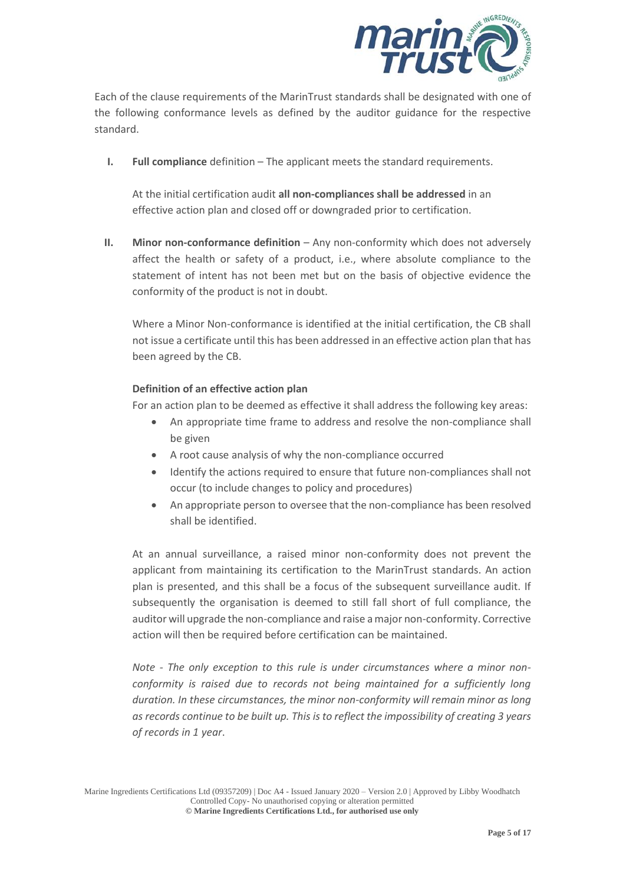

Each of the clause requirements of the MarinTrust standards shall be designated with one of the following conformance levels as defined by the auditor guidance for the respective standard.

**I. Full compliance** definition – The applicant meets the standard requirements.

At the initial certification audit **all non-compliances shall be addressed** in an effective action plan and closed off or downgraded prior to certification.

**II. Minor non-conformance definition** – Any non-conformity which does not adversely affect the health or safety of a product, i.e., where absolute compliance to the statement of intent has not been met but on the basis of objective evidence the conformity of the product is not in doubt.

Where a Minor Non-conformance is identified at the initial certification, the CB shall not issue a certificate until this has been addressed in an effective action plan that has been agreed by the CB.

#### **Definition of an effective action plan**

For an action plan to be deemed as effective it shall address the following key areas:

- An appropriate time frame to address and resolve the non-compliance shall be given
- A root cause analysis of why the non-compliance occurred
- Identify the actions required to ensure that future non-compliances shall not occur (to include changes to policy and procedures)
- An appropriate person to oversee that the non-compliance has been resolved shall be identified.

At an annual surveillance, a raised minor non-conformity does not prevent the applicant from maintaining its certification to the MarinTrust standards. An action plan is presented, and this shall be a focus of the subsequent surveillance audit. If subsequently the organisation is deemed to still fall short of full compliance, the auditor will upgrade the non-compliance and raise a major non-conformity. Corrective action will then be required before certification can be maintained.

*Note - The only exception to this rule is under circumstances where a minor nonconformity is raised due to records not being maintained for a sufficiently long duration. In these circumstances, the minor non-conformity will remain minor as long as records continue to be built up. This is to reflect the impossibility of creating 3 years of records in 1 year*.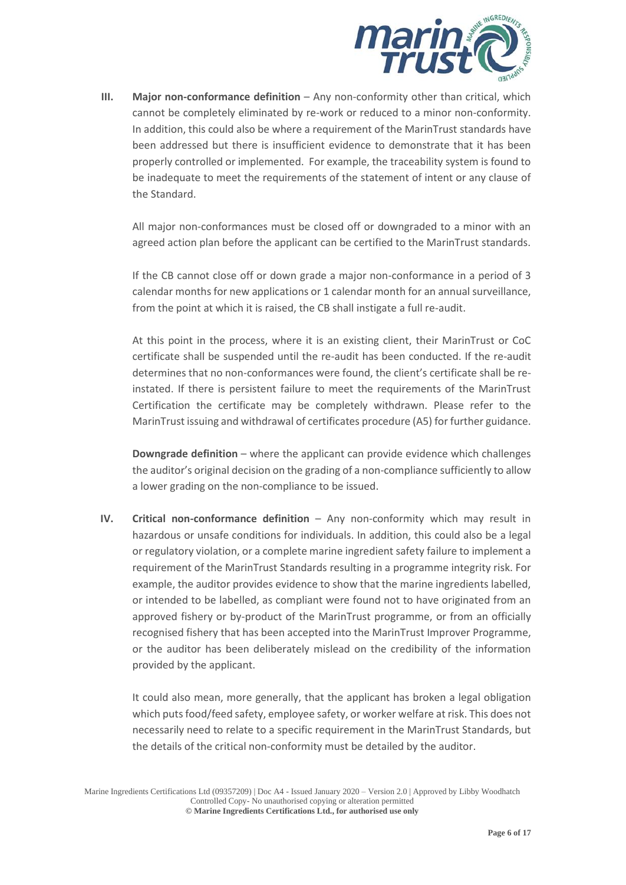

**III.** Major non-conformance definition – Any non-conformity other than critical, which cannot be completely eliminated by re-work or reduced to a minor non-conformity. In addition, this could also be where a requirement of the MarinTrust standards have been addressed but there is insufficient evidence to demonstrate that it has been properly controlled or implemented. For example, the traceability system is found to be inadequate to meet the requirements of the statement of intent or any clause of the Standard.

All major non-conformances must be closed off or downgraded to a minor with an agreed action plan before the applicant can be certified to the MarinTrust standards.

If the CB cannot close off or down grade a major non-conformance in a period of 3 calendar months for new applications or 1 calendar month for an annual surveillance, from the point at which it is raised, the CB shall instigate a full re-audit.

At this point in the process, where it is an existing client, their MarinTrust or CoC certificate shall be suspended until the re-audit has been conducted. If the re-audit determines that no non-conformances were found, the client's certificate shall be reinstated. If there is persistent failure to meet the requirements of the MarinTrust Certification the certificate may be completely withdrawn. Please refer to the MarinTrust issuing and withdrawal of certificates procedure (A5) for further guidance.

**Downgrade definition** – where the applicant can provide evidence which challenges the auditor's original decision on the grading of a non-compliance sufficiently to allow a lower grading on the non-compliance to be issued.

**IV. Critical non-conformance definition** – Any non-conformity which may result in hazardous or unsafe conditions for individuals. In addition, this could also be a legal or regulatory violation, or a complete marine ingredient safety failure to implement a requirement of the MarinTrust Standards resulting in a programme integrity risk. For example, the auditor provides evidence to show that the marine ingredients labelled, or intended to be labelled, as compliant were found not to have originated from an approved fishery or by-product of the MarinTrust programme, or from an officially recognised fishery that has been accepted into the MarinTrust Improver Programme, or the auditor has been deliberately mislead on the credibility of the information provided by the applicant.

It could also mean, more generally, that the applicant has broken a legal obligation which puts food/feed safety, employee safety, or worker welfare at risk. This does not necessarily need to relate to a specific requirement in the MarinTrust Standards, but the details of the critical non-conformity must be detailed by the auditor.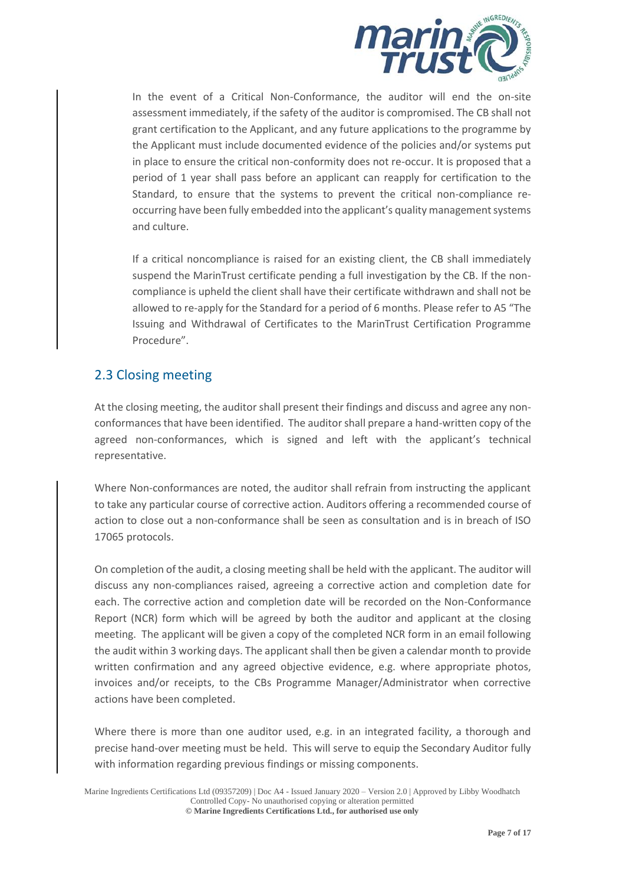

In the event of a Critical Non-Conformance, the auditor will end the on-site assessment immediately, if the safety of the auditor is compromised. The CB shall not grant certification to the Applicant, and any future applications to the programme by the Applicant must include documented evidence of the policies and/or systems put in place to ensure the critical non-conformity does not re-occur. It is proposed that a period of 1 year shall pass before an applicant can reapply for certification to the Standard, to ensure that the systems to prevent the critical non-compliance reoccurring have been fully embedded into the applicant's quality management systems and culture.

If a critical noncompliance is raised for an existing client, the CB shall immediately suspend the MarinTrust certificate pending a full investigation by the CB. If the noncompliance is upheld the client shall have their certificate withdrawn and shall not be allowed to re-apply for the Standard for a period of 6 months. Please refer to A5 "The Issuing and Withdrawal of Certificates to the MarinTrust Certification Programme Procedure".

#### 2.3 Closing meeting

At the closing meeting, the auditor shall present their findings and discuss and agree any nonconformances that have been identified. The auditor shall prepare a hand-written copy of the agreed non-conformances, which is signed and left with the applicant's technical representative.

Where Non-conformances are noted, the auditor shall refrain from instructing the applicant to take any particular course of corrective action. Auditors offering a recommended course of action to close out a non-conformance shall be seen as consultation and is in breach of ISO 17065 protocols.

On completion of the audit, a closing meeting shall be held with the applicant. The auditor will discuss any non-compliances raised, agreeing a corrective action and completion date for each. The corrective action and completion date will be recorded on the Non-Conformance Report (NCR) form which will be agreed by both the auditor and applicant at the closing meeting. The applicant will be given a copy of the completed NCR form in an email following the audit within 3 working days. The applicant shall then be given a calendar month to provide written confirmation and any agreed objective evidence, e.g. where appropriate photos, invoices and/or receipts, to the CBs Programme Manager/Administrator when corrective actions have been completed.

Where there is more than one auditor used, e.g. in an integrated facility, a thorough and precise hand-over meeting must be held. This will serve to equip the Secondary Auditor fully with information regarding previous findings or missing components.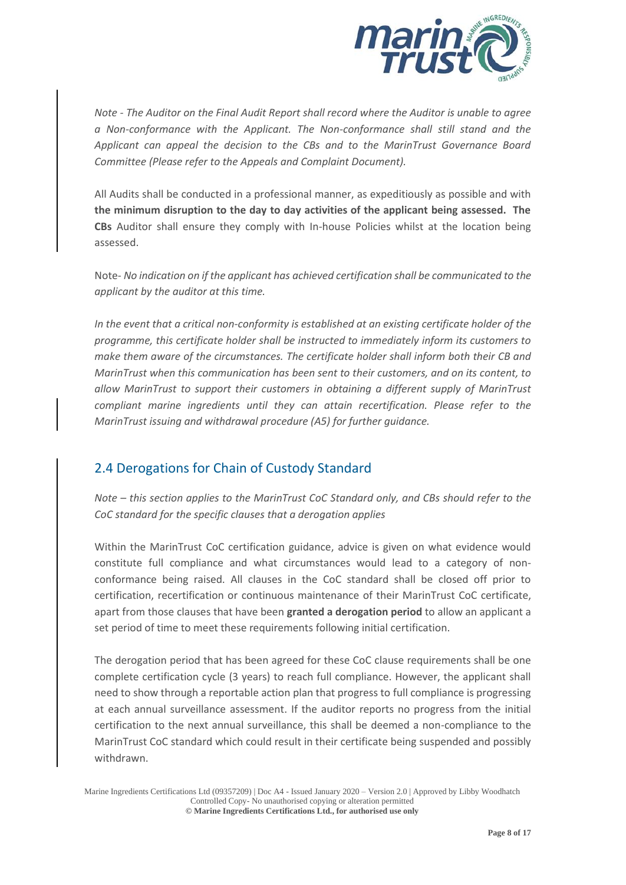

*Note - The Auditor on the Final Audit Report shall record where the Auditor is unable to agree a Non-conformance with the Applicant. The Non-conformance shall still stand and the Applicant can appeal the decision to the CBs and to the MarinTrust Governance Board Committee (Please refer to the Appeals and Complaint Document).*

All Audits shall be conducted in a professional manner, as expeditiously as possible and with **the minimum disruption to the day to day activities of the applicant being assessed. The CBs** Auditor shall ensure they comply with In-house Policies whilst at the location being assessed.

Note- *No indication on if the applicant has achieved certification shall be communicated to the applicant by the auditor at this time.*

*In the event that a critical non-conformity is established at an existing certificate holder of the programme, this certificate holder shall be instructed to immediately inform its customers to make them aware of the circumstances. The certificate holder shall inform both their CB and MarinTrust when this communication has been sent to their customers, and on its content, to allow MarinTrust to support their customers in obtaining a different supply of MarinTrust compliant marine ingredients until they can attain recertification. Please refer to the MarinTrust issuing and withdrawal procedure (A5) for further guidance.*

#### 2.4 Derogations for Chain of Custody Standard

*Note – this section applies to the MarinTrust CoC Standard only, and CBs should refer to the CoC standard for the specific clauses that a derogation applies*

Within the MarinTrust CoC certification guidance, advice is given on what evidence would constitute full compliance and what circumstances would lead to a category of nonconformance being raised. All clauses in the CoC standard shall be closed off prior to certification, recertification or continuous maintenance of their MarinTrust CoC certificate, apart from those clauses that have been **granted a derogation period** to allow an applicant a set period of time to meet these requirements following initial certification.

The derogation period that has been agreed for these CoC clause requirements shall be one complete certification cycle (3 years) to reach full compliance. However, the applicant shall need to show through a reportable action plan that progress to full compliance is progressing at each annual surveillance assessment. If the auditor reports no progress from the initial certification to the next annual surveillance, this shall be deemed a non-compliance to the MarinTrust CoC standard which could result in their certificate being suspended and possibly withdrawn.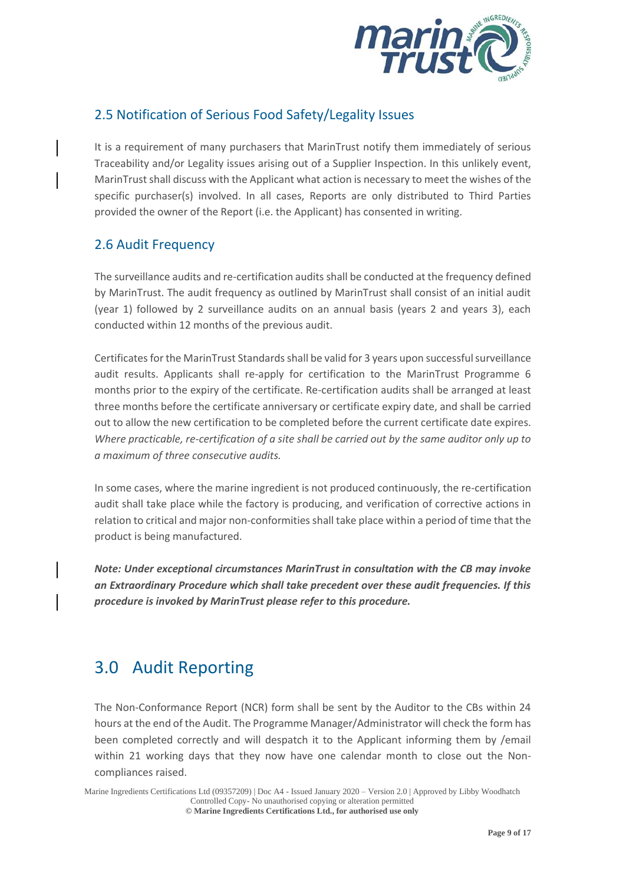

#### 2.5 Notification of Serious Food Safety/Legality Issues

It is a requirement of many purchasers that MarinTrust notify them immediately of serious Traceability and/or Legality issues arising out of a Supplier Inspection. In this unlikely event, MarinTrust shall discuss with the Applicant what action is necessary to meet the wishes of the specific purchaser(s) involved. In all cases, Reports are only distributed to Third Parties provided the owner of the Report (i.e. the Applicant) has consented in writing.

#### 2.6 Audit Frequency

The surveillance audits and re-certification audits shall be conducted at the frequency defined by MarinTrust. The audit frequency as outlined by MarinTrust shall consist of an initial audit (year 1) followed by 2 surveillance audits on an annual basis (years 2 and years 3), each conducted within 12 months of the previous audit.

Certificates for the MarinTrust Standards shall be valid for 3 years upon successful surveillance audit results. Applicants shall re-apply for certification to the MarinTrust Programme 6 months prior to the expiry of the certificate. Re-certification audits shall be arranged at least three months before the certificate anniversary or certificate expiry date, and shall be carried out to allow the new certification to be completed before the current certificate date expires. *Where practicable, re-certification of a site shall be carried out by the same auditor only up to a maximum of three consecutive audits.*

In some cases, where the marine ingredient is not produced continuously, the re-certification audit shall take place while the factory is producing, and verification of corrective actions in relation to critical and major non-conformities shall take place within a period of time that the product is being manufactured.

*Note: Under exceptional circumstances MarinTrust in consultation with the CB may invoke an Extraordinary Procedure which shall take precedent over these audit frequencies. If this procedure is invoked by MarinTrust please refer to this procedure.* 

## 3.0 Audit Reporting

The Non-Conformance Report (NCR) form shall be sent by the Auditor to the CBs within 24 hours at the end of the Audit. The Programme Manager/Administrator will check the form has been completed correctly and will despatch it to the Applicant informing them by /email within 21 working days that they now have one calendar month to close out the Noncompliances raised.

Marine Ingredients Certifications Ltd (09357209) | Doc A4 - Issued January 2020 – Version 2.0 | Approved by Libby Woodhatch Controlled Copy- No unauthorised copying or alteration permitted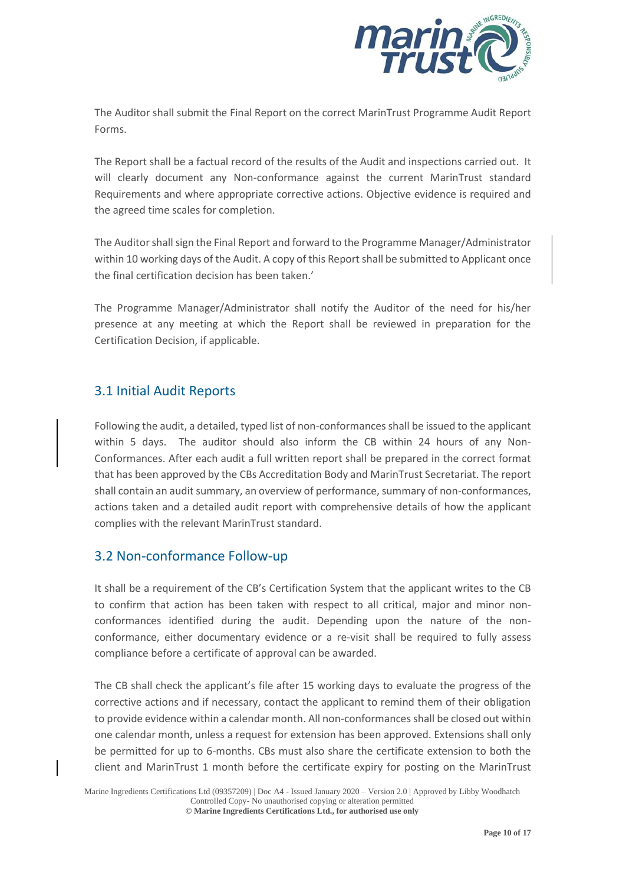

The Auditor shall submit the Final Report on the correct MarinTrust Programme Audit Report Forms.

The Report shall be a factual record of the results of the Audit and inspections carried out. It will clearly document any Non-conformance against the current MarinTrust standard Requirements and where appropriate corrective actions. Objective evidence is required and the agreed time scales for completion.

The Auditor shall sign the Final Report and forward to the Programme Manager/Administrator within 10 working days of the Audit. A copy of this Report shall be submitted to Applicant once the final certification decision has been taken.'

The Programme Manager/Administrator shall notify the Auditor of the need for his/her presence at any meeting at which the Report shall be reviewed in preparation for the Certification Decision, if applicable.

#### 3.1 Initial Audit Reports

Following the audit, a detailed, typed list of non-conformances shall be issued to the applicant within 5 days. The auditor should also inform the CB within 24 hours of any Non-Conformances. After each audit a full written report shall be prepared in the correct format that has been approved by the CBs Accreditation Body and MarinTrust Secretariat. The report shall contain an audit summary, an overview of performance, summary of non-conformances, actions taken and a detailed audit report with comprehensive details of how the applicant complies with the relevant MarinTrust standard.

#### 3.2 Non-conformance Follow-up

It shall be a requirement of the CB's Certification System that the applicant writes to the CB to confirm that action has been taken with respect to all critical, major and minor nonconformances identified during the audit. Depending upon the nature of the nonconformance, either documentary evidence or a re-visit shall be required to fully assess compliance before a certificate of approval can be awarded.

The CB shall check the applicant's file after 15 working days to evaluate the progress of the corrective actions and if necessary, contact the applicant to remind them of their obligation to provide evidence within a calendar month. All non-conformances shall be closed out within one calendar month, unless a request for extension has been approved. Extensions shall only be permitted for up to 6-months. CBs must also share the certificate extension to both the client and MarinTrust 1 month before the certificate expiry for posting on the MarinTrust

Marine Ingredients Certifications Ltd (09357209) | Doc A4 - Issued January 2020 – Version 2.0 | Approved by Libby Woodhatch Controlled Copy- No unauthorised copying or alteration permitted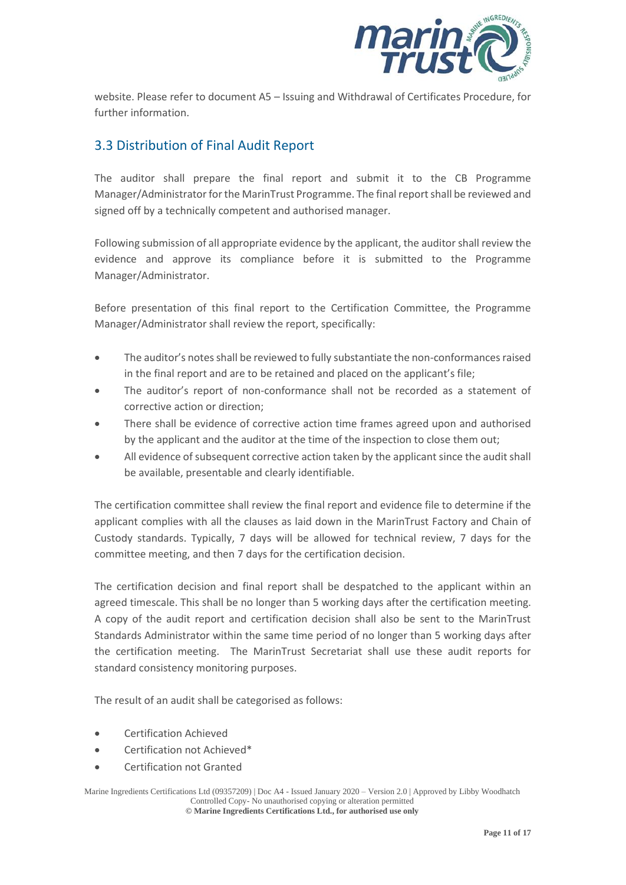

website. Please refer to document A5 – Issuing and Withdrawal of Certificates Procedure, for further information.

#### 3.3 Distribution of Final Audit Report

The auditor shall prepare the final report and submit it to the CB Programme Manager/Administrator for the MarinTrust Programme. The final report shall be reviewed and signed off by a technically competent and authorised manager.

Following submission of all appropriate evidence by the applicant, the auditor shall review the evidence and approve its compliance before it is submitted to the Programme Manager/Administrator.

Before presentation of this final report to the Certification Committee, the Programme Manager/Administrator shall review the report, specifically:

- The auditor's notes shall be reviewed to fully substantiate the non-conformances raised in the final report and are to be retained and placed on the applicant's file;
- The auditor's report of non-conformance shall not be recorded as a statement of corrective action or direction;
- There shall be evidence of corrective action time frames agreed upon and authorised by the applicant and the auditor at the time of the inspection to close them out;
- All evidence of subsequent corrective action taken by the applicant since the audit shall be available, presentable and clearly identifiable.

The certification committee shall review the final report and evidence file to determine if the applicant complies with all the clauses as laid down in the MarinTrust Factory and Chain of Custody standards. Typically, 7 days will be allowed for technical review, 7 days for the committee meeting, and then 7 days for the certification decision.

The certification decision and final report shall be despatched to the applicant within an agreed timescale. This shall be no longer than 5 working days after the certification meeting. A copy of the audit report and certification decision shall also be sent to the MarinTrust Standards Administrator within the same time period of no longer than 5 working days after the certification meeting. The MarinTrust Secretariat shall use these audit reports for standard consistency monitoring purposes.

The result of an audit shall be categorised as follows:

- Certification Achieved
- Certification not Achieved\*
- Certification not Granted

Marine Ingredients Certifications Ltd (09357209) | Doc A4 - Issued January 2020 – Version 2.0 | Approved by Libby Woodhatch Controlled Copy- No unauthorised copying or alteration permitted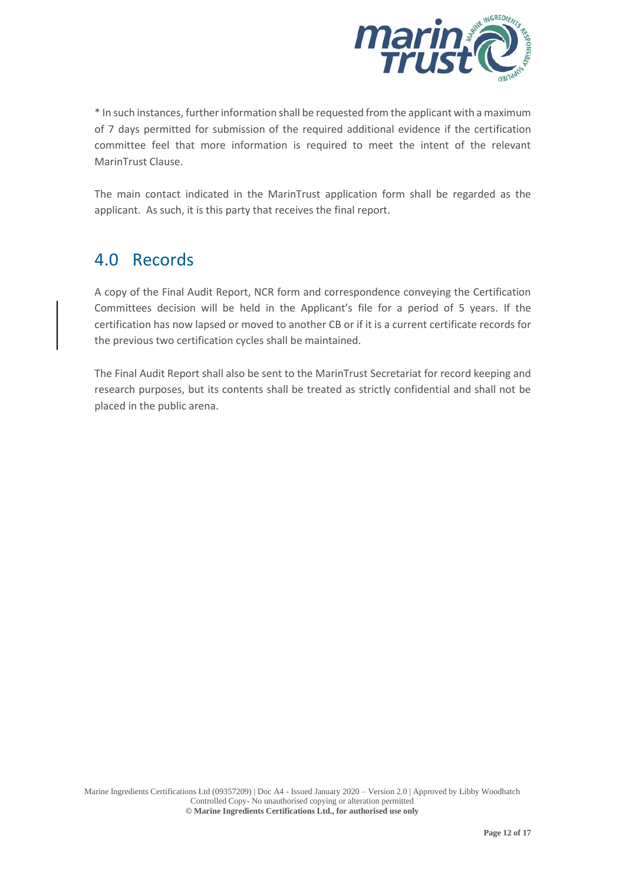

\* In such instances, further information shall be requested from the applicant with a maximum of 7 days permitted for submission of the required additional evidence if the certification committee feel that more information is required to meet the intent of the relevant MarinTrust Clause.

The main contact indicated in the MarinTrust application form shall be regarded as the applicant. As such, it is this party that receives the final report.

### 4.0 Records

A copy of the Final Audit Report, NCR form and correspondence conveying the Certification Committees decision will be held in the Applicant's file for a period of 5 years. If the certification has now lapsed or moved to another CB or if it is a current certificate records for the previous two certification cycles shall be maintained.

The Final Audit Report shall also be sent to the MarinTrust Secretariat for record keeping and research purposes, but its contents shall be treated as strictly confidential and shall not be placed in the public arena.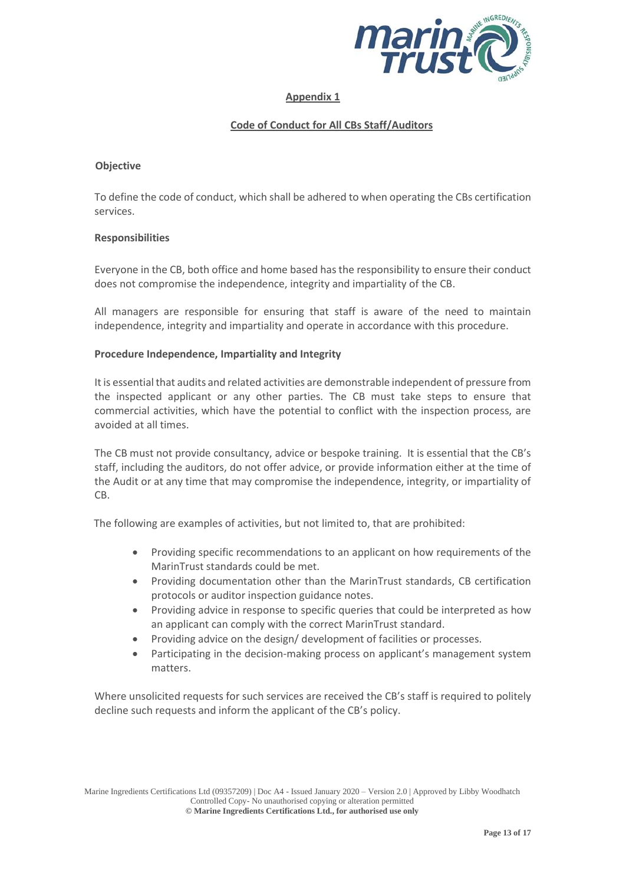

#### **Appendix 1**

#### **Code of Conduct for All CBs Staff/Auditors**

#### **Objective**

To define the code of conduct, which shall be adhered to when operating the CBs certification services.

#### **Responsibilities**

Everyone in the CB, both office and home based has the responsibility to ensure their conduct does not compromise the independence, integrity and impartiality of the CB.

All managers are responsible for ensuring that staff is aware of the need to maintain independence, integrity and impartiality and operate in accordance with this procedure.

#### **Procedure Independence, Impartiality and Integrity**

It is essential that audits and related activities are demonstrable independent of pressure from the inspected applicant or any other parties. The CB must take steps to ensure that commercial activities, which have the potential to conflict with the inspection process, are avoided at all times.

The CB must not provide consultancy, advice or bespoke training. It is essential that the CB's staff, including the auditors, do not offer advice, or provide information either at the time of the Audit or at any time that may compromise the independence, integrity, or impartiality of CB.

The following are examples of activities, but not limited to, that are prohibited:

- Providing specific recommendations to an applicant on how requirements of the MarinTrust standards could be met.
- Providing documentation other than the MarinTrust standards, CB certification protocols or auditor inspection guidance notes.
- Providing advice in response to specific queries that could be interpreted as how an applicant can comply with the correct MarinTrust standard.
- Providing advice on the design/ development of facilities or processes.
- Participating in the decision-making process on applicant's management system matters.

Where unsolicited requests for such services are received the CB's staff is required to politely decline such requests and inform the applicant of the CB's policy.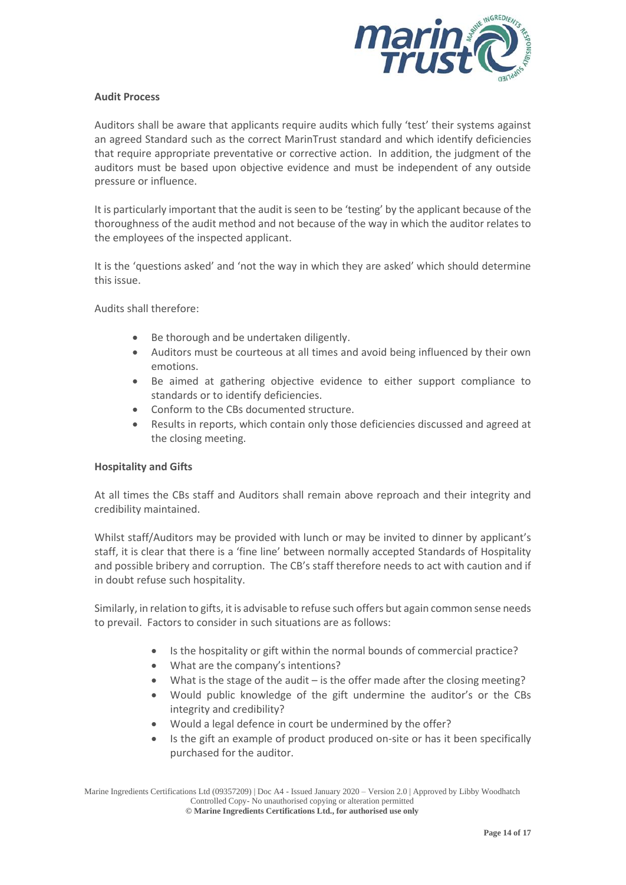

#### **Audit Process**

Auditors shall be aware that applicants require audits which fully 'test' their systems against an agreed Standard such as the correct MarinTrust standard and which identify deficiencies that require appropriate preventative or corrective action. In addition, the judgment of the auditors must be based upon objective evidence and must be independent of any outside pressure or influence.

It is particularly important that the audit is seen to be 'testing' by the applicant because of the thoroughness of the audit method and not because of the way in which the auditor relates to the employees of the inspected applicant.

It is the 'questions asked' and 'not the way in which they are asked' which should determine this issue.

Audits shall therefore:

- Be thorough and be undertaken diligently.
- Auditors must be courteous at all times and avoid being influenced by their own emotions.
- Be aimed at gathering objective evidence to either support compliance to standards or to identify deficiencies.
- Conform to the CBs documented structure.
- Results in reports, which contain only those deficiencies discussed and agreed at the closing meeting.

#### **Hospitality and Gifts**

At all times the CBs staff and Auditors shall remain above reproach and their integrity and credibility maintained.

Whilst staff/Auditors may be provided with lunch or may be invited to dinner by applicant's staff, it is clear that there is a 'fine line' between normally accepted Standards of Hospitality and possible bribery and corruption. The CB's staff therefore needs to act with caution and if in doubt refuse such hospitality.

Similarly, in relation to gifts, it is advisable to refuse such offers but again common sense needs to prevail. Factors to consider in such situations are as follows:

- Is the hospitality or gift within the normal bounds of commercial practice?
- What are the company's intentions?
- What is the stage of the audit  $-$  is the offer made after the closing meeting?
- Would public knowledge of the gift undermine the auditor's or the CBs integrity and credibility?
- Would a legal defence in court be undermined by the offer?
- Is the gift an example of product produced on-site or has it been specifically purchased for the auditor.

Marine Ingredients Certifications Ltd (09357209) | Doc A4 - Issued January 2020 – Version 2.0 | Approved by Libby Woodhatch Controlled Copy- No unauthorised copying or alteration permitted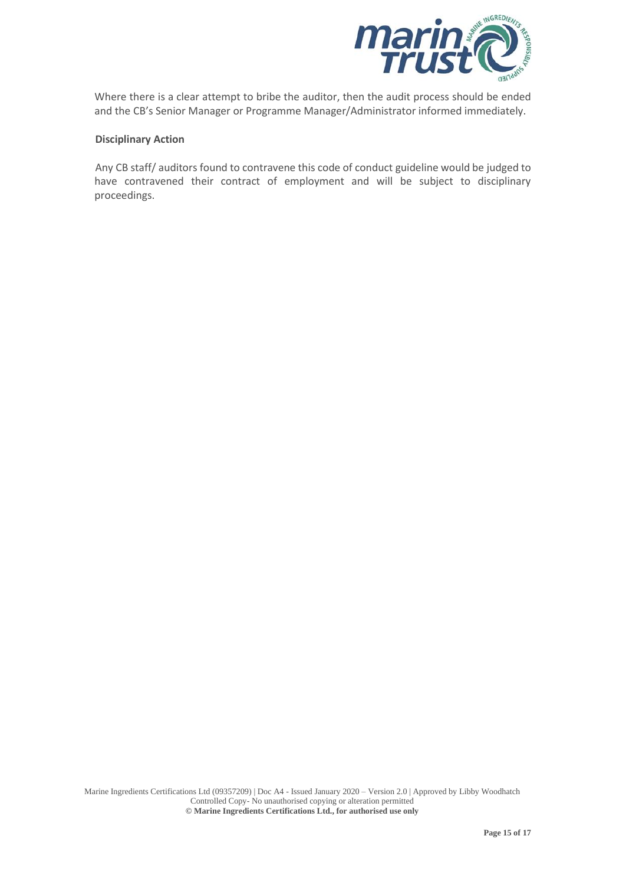

Where there is a clear attempt to bribe the auditor, then the audit process should be ended and the CB's Senior Manager or Programme Manager/Administrator informed immediately.

#### **Disciplinary Action**

Any CB staff/ auditors found to contravene this code of conduct guideline would be judged to have contravened their contract of employment and will be subject to disciplinary proceedings.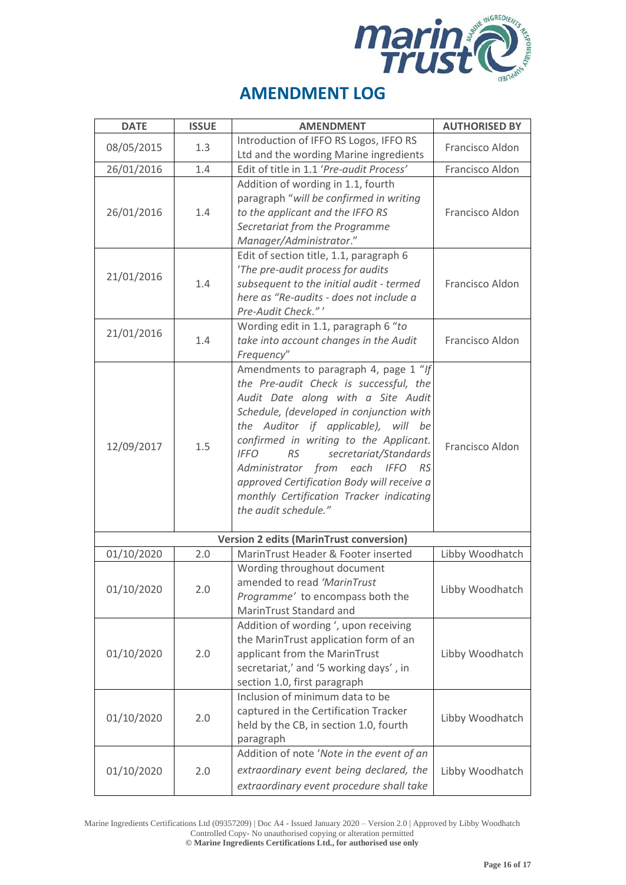

| <b>DATE</b>                                    | <b>ISSUE</b> | <b>AMENDMENT</b>                                                                                                                                                                                                                                                                                                                                                                                                                                                     | <b>AUTHORISED BY</b>               |  |
|------------------------------------------------|--------------|----------------------------------------------------------------------------------------------------------------------------------------------------------------------------------------------------------------------------------------------------------------------------------------------------------------------------------------------------------------------------------------------------------------------------------------------------------------------|------------------------------------|--|
| 08/05/2015                                     | 1.3          | Introduction of IFFO RS Logos, IFFO RS<br>Ltd and the wording Marine ingredients                                                                                                                                                                                                                                                                                                                                                                                     | Francisco Aldon                    |  |
| 26/01/2016                                     | 1.4          | Edit of title in 1.1 'Pre-audit Process'                                                                                                                                                                                                                                                                                                                                                                                                                             | Francisco Aldon                    |  |
| 26/01/2016                                     | 1.4          | Addition of wording in 1.1, fourth<br>paragraph "will be confirmed in writing<br>to the applicant and the IFFO RS<br>Secretariat from the Programme<br>Manager/Administrator."                                                                                                                                                                                                                                                                                       | Francisco Aldon                    |  |
| 21/01/2016                                     | 1.4          | Edit of section title, 1.1, paragraph 6<br>'The pre-audit process for audits<br>subsequent to the initial audit - termed<br>here as "Re-audits - does not include a<br>Pre-Audit Check."'                                                                                                                                                                                                                                                                            | Francisco Aldon                    |  |
| 21/01/2016                                     | 1.4          | Wording edit in 1.1, paragraph 6 "to<br>take into account changes in the Audit<br>Frequency"                                                                                                                                                                                                                                                                                                                                                                         | Francisco Aldon                    |  |
| 12/09/2017                                     | 1.5          | Amendments to paragraph 4, page 1 "If<br>the Pre-audit Check is successful, the<br>Audit Date along with a Site Audit<br>Schedule, (developed in conjunction with<br>the Auditor if applicable), will be<br>confirmed in writing to the Applicant.<br>secretariat/Standards<br><b>IFFO</b><br><b>RS</b><br>Administrator from<br>each IFFO<br>- RS<br>approved Certification Body will receive a<br>monthly Certification Tracker indicating<br>the audit schedule." | Francisco Aldon                    |  |
| <b>Version 2 edits (MarinTrust conversion)</b> |              |                                                                                                                                                                                                                                                                                                                                                                                                                                                                      |                                    |  |
| 01/10/2020<br>01/10/2020                       | 2.0<br>2.0   | MarinTrust Header & Footer inserted<br>Wording throughout document<br>amended to read 'MarinTrust<br>Programme' to encompass both the<br>MarinTrust Standard and                                                                                                                                                                                                                                                                                                     | Libby Woodhatch<br>Libby Woodhatch |  |
| 01/10/2020                                     | 2.0          | Addition of wording ', upon receiving<br>the MarinTrust application form of an<br>applicant from the MarinTrust<br>secretariat,' and '5 working days', in<br>section 1.0, first paragraph                                                                                                                                                                                                                                                                            | Libby Woodhatch                    |  |
| 01/10/2020                                     | 2.0          | Inclusion of minimum data to be<br>captured in the Certification Tracker<br>held by the CB, in section 1.0, fourth<br>paragraph                                                                                                                                                                                                                                                                                                                                      | Libby Woodhatch                    |  |
| 01/10/2020                                     | 2.0          | Addition of note 'Note in the event of an<br>extraordinary event being declared, the<br>extraordinary event procedure shall take                                                                                                                                                                                                                                                                                                                                     | Libby Woodhatch                    |  |